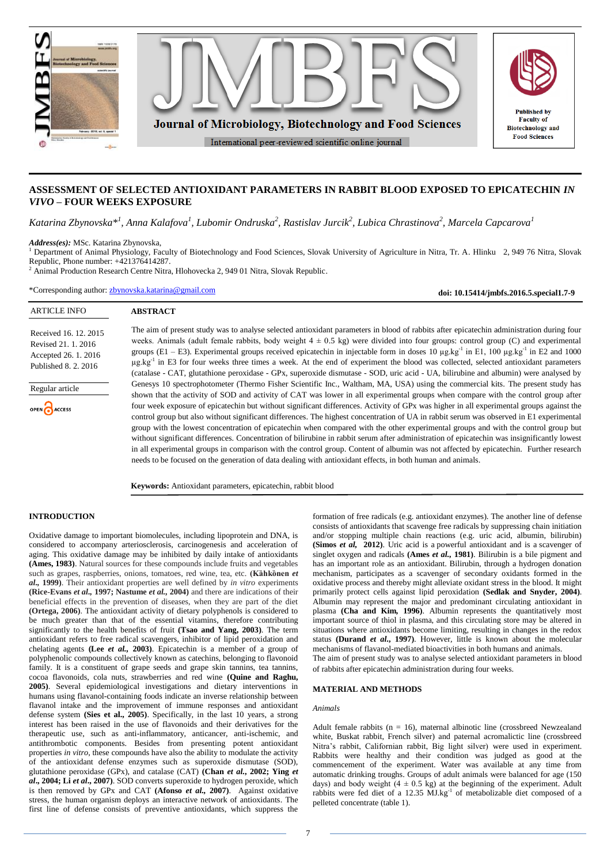

# **ASSESSMENT OF SELECTED ANTIOXIDANT PARAMETERS IN RABBIT BLOOD EXPOSED TO EPICATECHIN** *IN VIVO* **– FOUR WEEKS EXPOSURE**

 $K$ atarina Zbynovska $*^l$ , Anna Kalafova $^l$ , Lubomir Ondruska $^2$ , Rastislav Jurcik $^2$ , Lubica Chrastinova $^2$ , Marcela Capcarova $^l$ 

*Address(es):* MSc. Katarina Zbynovska,

<sup>1</sup> Department of Animal Physiology, Faculty of Biotechnology and Food Sciences, Slovak University of Agriculture in Nitra, Tr. A. Hlinku 2, 949 76 Nitra, Slovak Republic, Phone number: +421376414287.

<sup>2</sup> Animal Production Research Centre Nitra, Hlohovecka 2, 949 01 Nitra, Slovak Republic.

\*Corresponding author: [zbynovska.katarina@gmail.com](mailto:zbynovska.katarina@gmail.com)

**doi: 10.15414/jmbfs.2016.5.special1.7-9**

# ARTICLE INFO

## **ABSTRACT**

Received 16. 12. 2015 Revised 21. 1. 2016 Accepted 26. 1. 2016 Published 8. 2. 2016

Regular article

OPEN CACCESS

The aim of present study was to analyse selected antioxidant parameters in blood of rabbits after epicatechin administration during four weeks. Animals (adult female rabbits, body weight  $4 \pm 0.5$  kg) were divided into four groups: control group (C) and experimental groups (E1 – E3). Experimental groups received epicatechin in injectable form in doses 10  $\mu$ g.kg<sup>-1</sup> in E1, 100  $\mu$ g.kg<sup>-1</sup> in E2 and 1000 µg.kg<sup>-1</sup> in E3 for four weeks three times a week. At the end of experiment the blood was collected, selected antioxidant parameters (catalase - CAT, glutathione peroxidase - GPx, superoxide dismutase - SOD, uric acid - UA, bilirubine and albumin) were analysed by Genesys 10 spectrophotometer (Thermo Fisher Scientific Inc., Waltham, MA, USA) using the commercial kits. The present study has shown that the activity of SOD and activity of CAT was lower in all experimental groups when compare with the control group after four week exposure of epicatechin but without significant differences. Activity of GPx was higher in all experimental groups against the control group but also without significant differences. The highest concentration of UA in rabbit serum was observed in E1 experimental group with the lowest concentration of epicatechin when compared with the other experimental groups and with the control group but without significant differences. Concentration of bilirubine in rabbit serum after administration of epicatechin was insignificantly lowest in all experimental groups in comparison with the control group. Content of albumin was not affected by epicatechin. Further research needs to be focused on the generation of data dealing with antioxidant effects, in both human and animals.

**Keywords:** Antioxidant parameters, epicatechin, rabbit blood

# **INTRODUCTION**

Oxidative damage to important biomolecules, including lipoprotein and DNA, is considered to accompany arteriosclerosis, carcinogenesis and acceleration of aging. This oxidative damage may be inhibited by daily intake of antioxidants **(Ames, 1983)**. Natural sources for these compounds include fruits and vegetables such as grapes, raspberries, onions, tomatoes, red wine, tea, etc. **(Kȁhkȍnen** *et al.,* **1999)**. Their antioxidant properties are well defined by *in vitro* experiments **(Rice-Evans** *et al.,* **1997; Nastume** *et al.,* **2004)** and there are indications of their beneficial effects in the prevention of diseases, when they are part of the diet **(Ortega, 2006)**. The antioxidant activity of dietary polyphenols is considered to be much greater than that of the essential vitamins, therefore contributing significantly to the health benefits of fruit **(Tsao and Yang, 2003)**. The term antioxidant refers to free radical scavengers, inhibitor of lipid peroxidation and chelating agents **(Lee** *et al.,* **2003)**. Epicatechin is a member of a group of polyphenolic compounds collectively known as catechins, belonging to flavonoid family. It is a constituent of grape seeds and grape skin tannins, tea tannins, cocoa flavonoids, cola nuts, strawberries and red wine **(Quine and Raghu, 2005)**. Several epidemiological investigations and dietary interventions in humans using flavanol-containing foods indicate an inverse relationship between flavanol intake and the improvement of immune responses and antioxidant defense system **(Sies et al., 2005)**. Specifically, in the last 10 years, a strong interest has been raised in the use of flavonoids and their derivatives for the therapeutic use, such as anti-inflammatory, anticancer, anti-ischemic, and antithrombotic components. Besides from presenting potent antioxidant properties *in vitro*, these compounds have also the ability to modulate the activity of the antioxidant defense enzymes such as superoxide dismutase (SOD), glutathione peroxidase (GPx), and catalase (CAT) **(Chan** *et al.***, 2002; Ying** *et al***., 2004; Li** *et al***., 2007)**. SOD converts superoxide to hydrogen peroxide, which is then removed by GPx and CAT **(Afonso** *et al.,* **2007)**. Against oxidative stress, the human organism deploys an interactive network of antioxidants. The first line of defense consists of preventive antioxidants, which suppress the

formation of free radicals (e.g. antioxidant enzymes). The another line of defense consists of antioxidants that scavenge free radicals by suppressing chain initiation and/or stopping multiple chain reactions (e.g. uric acid, albumin, bilirubin) **(Simos** *et al,* **2012)**. Uric acid is a powerful antioxidant and is a scavenger of singlet oxygen and radicals **(Ames** *et al.,* **1981)**. Bilirubin is a bile pigment and has an important role as an antioxidant. Bilirubin, through a hydrogen donation mechanism, participates as a scavenger of secondary oxidants formed in the oxidative process and thereby might alleviate oxidant stress in the blood. It might primarily protect cells against lipid peroxidation **(Sedlak and Snyder, 2004)**. Albumin may represent the major and predominant circulating antioxidant in plasma **(Cha and Kim***,* **1996)**. Albumin represents the quantitatively most important source of thiol in plasma, and this circulating store may be altered in situations where antioxidants become limiting, resulting in changes in the redox status **(Durand** *et al***., 1997)**. However, little is known about the molecular mechanisms of flavanol-mediated bioactivities in both humans and animals. The aim of present study was to analyse selected antioxidant parameters in blood of rabbits after epicatechin administration during four weeks.

### **MATERIAL AND METHODS**

#### *Animals*

Adult female rabbits ( $n = 16$ ), maternal albinotic line (crossbreed Newzealand white, Buskat rabbit, French silver) and paternal acromalictic line (crossbreed Nitra's rabbit, Californian rabbit, Big light silver) were used in experiment. Rabbits were healthy and their condition was judged as good at the commencement of the experiment. Water was available at any time from automatic drinking troughs. Groups of adult animals were balanced for age (150 days) and body weight  $(4 \pm 0.5 \text{ kg})$  at the beginning of the experiment. Adult rabbits were fed diet of a 12.35 MJ.kg<sup>-1</sup> of metabolizable diet composed of a pelleted concentrate (table 1).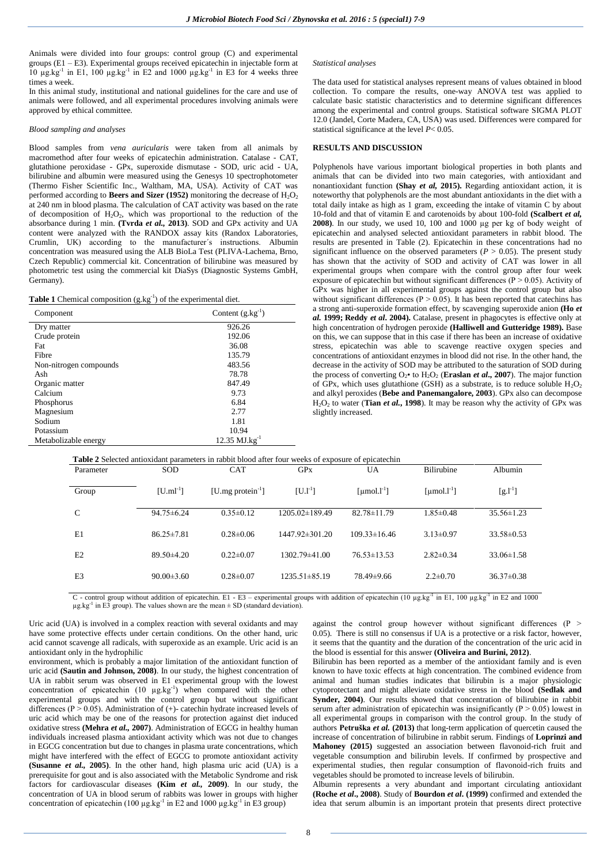Animals were divided into four groups: control group (C) and experimental groups (E1 – E3). Experimental groups received epicatechin in injectable form at 10  $\mu$ g.kg<sup>-1</sup> in E1, 100  $\mu$ g.kg<sup>-1</sup> in E2 and 1000  $\mu$ g.kg<sup>-1</sup> in E3 for 4 weeks three times a week.

In this animal study, institutional and national guidelines for the care and use of animals were followed, and all experimental procedures involving animals were approved by ethical committee.

### *Blood sampling and analyses*

Blood samples from *vena auricularis* were taken from all animals by macromethod after four weeks of epicatechin administration. Catalase - CAT, glutathione peroxidase - GPx, superoxide dismutase - SOD, uric acid - UA, bilirubine and albumin were measured using the Genesys 10 spectrophotometer (Thermo Fisher Scientific Inc., Waltham, MA, USA). Activity of CAT was performed according to **Beers and Sizer (1952)** monitoring the decrease of  $H_2O_2$ at 240 nm in blood plasma. The calculation of CAT activity was based on the rate of decomposition of H2O2, which was proportional to the reduction of the absorbance during 1 min. **(Tvrda** *et al.,* **2013)**. SOD and GPx activity and UA content were analyzed with the RANDOX assay kits (Randox Laboratories, Crumlin, UK) according to the manufacturer´s instructions. Albumin concentration was measured using the ALB BioLa Test (PLIVA-Lachema, Brno, Czech Republic) commercial kit. Concentration of bilirubine was measured by photometric test using the commercial kit DiaSys (Diagnostic Systems GmbH, Germany).

| <b>Table 1</b> Chemical composition $(g.kg^{-1})$ of the experimental diet. |  |  |
|-----------------------------------------------------------------------------|--|--|
|-----------------------------------------------------------------------------|--|--|

| Component              | Content $(g.kg^{-1})$       |  |  |  |
|------------------------|-----------------------------|--|--|--|
| Dry matter             | 926.26                      |  |  |  |
| Crude protein          | 192.06                      |  |  |  |
| Fat                    | 36.08                       |  |  |  |
| Fibre                  | 135.79                      |  |  |  |
| Non-nitrogen compounds | 483.56                      |  |  |  |
| Ash                    | 78.78                       |  |  |  |
| Organic matter         | 847.49                      |  |  |  |
| Calcium                | 9.73                        |  |  |  |
| Phosphorus             | 6.84                        |  |  |  |
| Magnesium              | 2.77                        |  |  |  |
| Sodium                 | 1.81                        |  |  |  |
| Potassium              | 10.94                       |  |  |  |
| Metabolizable energy   | $12.35$ MJ.kg <sup>-1</sup> |  |  |  |

*Statistical analyses*

The data used for statistical analyses represent means of values obtained in blood collection. To compare the results, one-way ANOVA test was applied to calculate basic statistic characteristics and to determine significant differences among the experimental and control groups. Statistical software SIGMA PLOT 12.0 (Jandel, Corte Madera, CA, USA) was used. Differences were compared for statistical significance at the level *P*< 0.05.

### **RESULTS AND DISCUSSION**

Polyphenols have various important biological properties in both plants and animals that can be divided into two main categories, with antioxidant and nonantioxidant function **(Shay** *et al,* **2015).** Regarding antioxidant action, it is noteworthy that polyphenols are the most abundant antioxidants in the diet with a total daily intake as high as 1 gram, exceeding the intake of vitamin C by about 10-fold and that of vitamin E and carotenoids by about 100-fold **(Scalbert** *et al,*  **2008)**. In our study, we used 10, 100 and 1000 µg per kg of body weight of epicatechin and analysed selected antioxidant parameters in rabbit blood. The results are presented in Table (2). Epicatechin in these concentrations had no significant influence on the observed parameters ( $P > 0.05$ ). The present study has shown that the activity of SOD and activity of CAT was lower in all experimental groups when compare with the control group after four week exposure of epicatechin but without significant differences ( $P > 0.05$ ). Activity of GPx was higher in all experimental groups against the control group but also without significant differences ( $P > 0.05$ ). It has been reported that catechins has a strong anti-superoxide formation effect, by scavenging superoxide anion **(Ho** *et al.* **1999; Reddy** *et al***. 2004).** Catalase, present in phagocytes is effective only at high concentration of hydrogen peroxide **(Halliwell and Gutteridge 1989).** Base on this, we can suppose that in this case if there has been an increase of oxidative stress, epicatechin was able to scavenge reactive oxygen species and concentrations of antioxidant enzymes in blood did not rise. In the other hand, the decrease in the activity of SOD may be attributed to the saturation of SOD during the process of converting  $O_2 \cdot$  to  $H_2O_2$  (**Eraslan** *et al.***, 2007**). The major function of GPx, which uses glutathione (GSH) as a substrate, is to reduce soluble  $H_2O_2$ and alkyl peroxides (**Bebe and Panemangalore, 2003**). GPx also can decompose H2O<sup>2</sup> to water (**Tian** *et al.***, 1998**). It may be reason why the activity of GPx was slightly increased.

|  | Table 2 Selected antioxidant parameters in rabbit blood after four weeks of exposure of epicatechin |  |  |  |
|--|-----------------------------------------------------------------------------------------------------|--|--|--|
|  |                                                                                                     |  |  |  |

| Parameter      | <b>SOD</b>       | <b>CAT</b>              | <b>GP<sub>x</sub></b> | <b>UA</b>               | Bilirubine              | Albumin          |  |
|----------------|------------------|-------------------------|-----------------------|-------------------------|-------------------------|------------------|--|
| Group          | $[U.m1^{-1}]$    | [U.mg protein $^{-1}$ ] | $[U.1^{-1}]$          | [µmol.l <sup>-1</sup> ] | [µmol.l <sup>-1</sup> ] | $[g.1^{-1}]$     |  |
| $\mathcal{C}$  | $94.75 \pm 6.24$ | $0.35 \pm 0.12$         | 1205.02±189.49        | $82.78 \pm 11.79$       | $1.85 \pm 0.48$         | $35.56 \pm 1.23$ |  |
| E1             | $86.25 \pm 7.81$ | $0.28 \pm 0.06$         | $1447.92 \pm 301.20$  | $109.33\pm16.46$        | $3.13 \pm 0.97$         | $33.58 \pm 0.53$ |  |
| E2             | $89.50 \pm 4.20$ | $0.22 \pm 0.07$         | $1302.79\pm41.00$     | $76.53\pm13.53$         | $2.82 \pm 0.34$         | $33.06\pm1.58$   |  |
| E <sub>3</sub> | $90.00 \pm 3.60$ | $0.28 \pm 0.07$         | $1235.51 \pm 85.19$   | 78.49±9.66              | $2.2 \pm 0.70$          | $36.37\pm0.38$   |  |
|                |                  |                         |                       |                         |                         |                  |  |

C - control group without addition of epicatechin. E1 - E3 – experimental groups with addition of epicatechin (10  $\mu$ g.kg<sup>-1</sup> in E1, 100  $\mu$ g.kg<sup>-1</sup> in E2 and 1000  $\mu$ g.kg<sup>-1</sup> in E3 group). The values shown are the mean  $\pm$  SD (standard deviation).

Uric acid (UA) is involved in a complex reaction with several oxidants and may have some protective effects under certain conditions. On the other hand, uric acid cannot scavenge all radicals, with superoxide as an example. Uric acid is an antioxidant only in the hydrophilic

environment, which is probably a major limitation of the antioxidant function of uric acid **(Sautin and Johnson, 2008)**. In our study, the highest concentration of UA in rabbit serum was observed in E1 experimental group with the lowest concentration of epicatechin  $(10 \ \mu g \text{.kg}^{-1})$  when compared with the other experimental groups and with the control group but without significant differences ( $P > 0.05$ ). Administration of (+)- catechin hydrate increased levels of uric acid which may be one of the reasons for protection against diet induced oxidative stress **(Mehra** *et al.,* **2007)**. Administration of EGCG in healthy human individuals increased plasma antioxidant activity which was not due to changes in EGCG concentration but due to changes in plasma urate concentrations, which might have interfered with the effect of EGCG to promote antioxidant activity **(Susanne** *et al.,* **2005)**. In the other hand, high plasma uric acid (UA) is a prerequisite for gout and is also associated with the Metabolic Syndrome and risk factors for cardiovascular diseases **(Kim** *et al.,* **2009)**. In our study, the concentration of UA in blood serum of rabbits was lower in groups with higher concentration of epicatechin (100  $\mu$ g.kg<sup>-1</sup> in E2 and 1000  $\mu$ g.kg<sup>-1</sup> in E3 group)

against the control group however without significant differences (P  $>$ 0.05). There is still no consensus if UA is a protective or a risk factor, however, it seems that the quantity and the duration of the concentration of the uric acid in the blood is essential for this answer **(Oliveira and Burini, 2012)**.

Bilirubin has been reported as a member of the antioxidant family and is even known to have toxic effects at high concentration. The combined evidence from animal and human studies indicates that bilirubin is a major physiologic cytoprotectant and might alleviate oxidative stress in the blood **(Sedlak and Synder, 2004)**. Our results showed that concentration of bilirubine in rabbit serum after administration of epicatechin was insignificantly  $(P > 0.05)$  lowest in all experimental groups in comparison with the control group. In the study of authors **Petruška** *et al.* **(2013)** that long-term application of quercetin caused the increase of concentration of bilirubine in rabbit serum. Findings of **Loprinzi and Mahoney (2015)** suggested an association between flavonoid-rich fruit and vegetable consumption and bilirubin levels. If confirmed by prospective and experimental studies, then regular consumption of flavonoid-rich fruits and vegetables should be promoted to increase levels of bilirubin.

Albumin represents a very abundant and important circulating antioxidant **(Roche** *et al***., 2008)**. Study of **Bourdon** *et al***. (1999)** confirmed and extended the idea that serum albumin is an important protein that presents direct protective